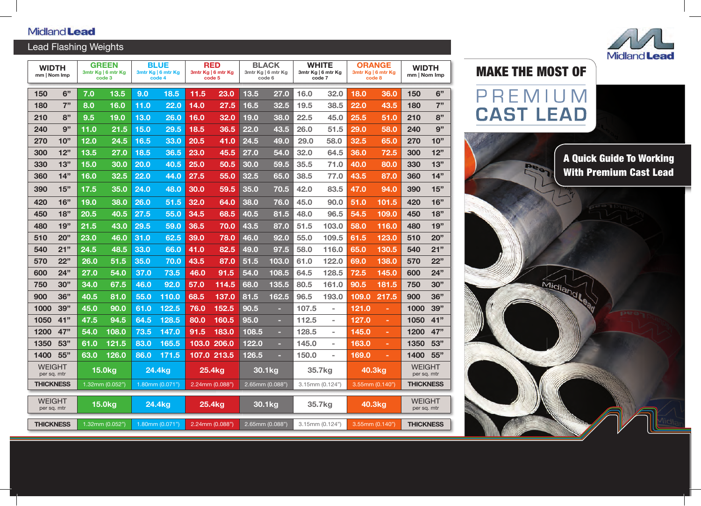# Midland **Lead**

# Lead Flashing Weights

| <b>WIDTH</b><br>mm   Nom Imp |     | <b>GREEN</b><br>3mtr Kg   6 mtr Kg<br>code 3 |       | <b>BLUE</b><br>3mtr Kg   6 mtr Kg<br>code 4 |                   | RED<br>3mtr Kg   6 mtr Kg<br>code 5 |             | <b>BLACK</b><br>3mtr Kg   6 mtr Kg<br>code 6 |       | WHITE<br>3mtr Kg   6 mtr Kg<br>code 7 |                          | <b>ORANGE</b><br>3mtr Kg   6 mtr Kg<br>code 8 |                | <b>WIDTH</b><br>mm   Nom Imp |            |
|------------------------------|-----|----------------------------------------------|-------|---------------------------------------------|-------------------|-------------------------------------|-------------|----------------------------------------------|-------|---------------------------------------|--------------------------|-----------------------------------------------|----------------|------------------------------|------------|
| 150                          | 6"  | 7.0                                          | 13.5  | 9.0                                         | 18.5              | 11.5                                | 23.0        | 13.5                                         | 27.0  | 16.0                                  | 32.0                     | 18.0                                          | 36.0           | 150                          | 6"         |
| 180                          | 7"  | 8.0                                          | 16.0  | 11.0                                        | 22.0              | 14.0                                | 27.5        | 16.5                                         | 32.5  | 19.5                                  | 38.5                     | 22.0                                          | 43.5           | 180                          | 7"         |
| 210                          | 8"  | 9.5                                          | 19.0  | 13.0                                        | 26.0              | 16.0                                | 32.0        | 19.0                                         | 38.0  | 22.5                                  | 45.0                     | 25.5                                          | 51.0           | 210                          | 8"         |
| 240                          | 9"  | 11.0                                         | 21.5  | 15.0                                        | 29.5              | 18.5                                | 36.5        | 22.0                                         | 43.5  | 26.0                                  | 51.5                     | 29.0                                          | 58.0           | 240                          | 9"         |
| 270                          | 10" | 12.0                                         | 24.5  | 16.5                                        | 33.0              | 20.5                                | 41.0        | 24.5                                         | 49.0  | 29.0                                  | 58.0                     | 32.5                                          | 65.0           | 270                          | 10"        |
| 300                          | 12" | 13.5                                         | 27.0  | 18.5                                        | 36.5              | 23.0                                | 45.5        | 27.0                                         | 54.0  | 32.0                                  | 64.5                     | 36.0                                          | 72.5           | 300                          | 12"        |
| 330                          | 13" | 15.0                                         | 30.0  | 20.0                                        | 40.5              | 25.0                                | 50.5        | 30.0                                         | 59.5  | 35.5                                  | 71.0                     | 40.0                                          | 80.0           | 330                          | 13"        |
| 360                          | 14" | 16.0                                         | 32.5  | 22.0                                        | 44.0              | 27.5                                | 55.0        | 32.5                                         | 65.0  | 38.5                                  | 77.0                     | 43.5                                          | 87.0           | 360                          | 14"        |
| 390                          | 15" | 17.5                                         | 35.0  | 24.0                                        | 48.0              | 30.0                                | 59.5        | 35.0                                         | 70.5  | 42.0                                  | 83.5                     | 47.0                                          | 94.0           | 390                          | 15"        |
| 420                          | 16" | 19.0                                         | 38.0  | 26.0                                        | $51.\overline{5}$ | 32.0                                | 64.0        | 38.0                                         | 76.0  | 45.0                                  | 90.0                     | 51.0                                          | 101.5          | 420                          | 16"        |
| 450                          | 18" | 20.5                                         | 40.5  | 27.5                                        | 55.0              | 34.5                                | 68.5        | 40.5                                         | 81.5  | 48.0                                  | 96.5                     | 54.5                                          | 109.0          | 450                          | 18"        |
| 480                          | 19" | 21.5                                         | 43.0  | 29.5                                        | 59.0              | 36.5                                | 70.0        | 43.5                                         | 87.0  | 51.5                                  | 103.0                    | 58.0                                          | 116.0          | 480                          | 19"        |
| 510                          | 20" | 23.0                                         | 46.0  | 31.0                                        | 62.5              | 39.0                                | 78.0        | 46.0                                         | 92.0  | 55.0                                  | 109.5                    | 61.5                                          | 123.0          | 510                          | <b>20"</b> |
| 540                          | 21" | 24.5                                         | 48.5  | 33.0                                        | 66.0              | 41.0                                | 82.5        | 49.0                                         | 97.5  | 58.0                                  | 116.0                    | 65.0                                          | 130.5          | 540                          | 21"        |
| 570                          | 22" | 26.0                                         | 51.5  | 35.0                                        | 70.0              | 43.5                                | 87.0        | 51.5                                         | 103.0 | 61.0                                  | 122.0                    | 69.0                                          | 138.0          | 570                          | 22"        |
| 600                          | 24" | 27.0                                         | 54.0  | 37.0                                        | 73.5              | 46.0                                | 91.5        | 54.0                                         | 108.5 | 64.5                                  | 128.5                    | 72.5                                          | 145.0          | 600                          | 24"        |
| 750                          | 30" | 34.0                                         | 67.5  | 46.0                                        | 92.0              | 57.0                                | 114.5       | 68.0                                         | 135.5 | 80.5                                  | 161.0                    | 90.5                                          | 181.5          | 750                          | 30"        |
| 900                          | 36" | 40.5                                         | 81.0  | 55.0                                        | 110.0             | 68.5                                | 137.0       | 81.5                                         | 162.5 | 96.5                                  | 193.0                    | 109.0                                         | 217.5          | 900                          | 36"        |
| 1000                         | 39" | 45.0                                         | 90.0  | 61.0                                        | 122.5             | 76.0                                | 152.5       | 90.5                                         | н     | 107.5                                 | $\overline{\phantom{a}}$ | 121.0                                         | $\blacksquare$ | 1000                         | 39"        |
| 1050                         | 41" | 47.5                                         | 94.5  | 64.5                                        | 128.5             | 80.0                                | 160.5       | 95.0                                         | н     | 112.5                                 |                          | 127.0                                         | ÷              | 1050                         | 41"        |
| 1200                         | 47" | 54.0                                         | 108.0 | 73.5                                        | 147.0             | 91.5                                | 183.0       | 108.5                                        | н     | 128.5                                 | $\overline{\phantom{a}}$ | 145.0                                         | $\blacksquare$ | 1200                         | 47"        |
| 1350                         | 53" | 61.0                                         | 121.5 | 83.0                                        | 165.5             | 103.0                               | 206.0       | 122.0                                        | ш     | 145.0                                 | $\overline{\phantom{a}}$ | 163.0                                         | ÷.             | 1350                         | 53"        |
| 1400                         | 55" | 63.0                                         | 126.0 | 86.0                                        | 171.5             |                                     | 107.0 213.5 | 126.5                                        |       | 150.0                                 |                          | 169.0                                         |                | 1400                         | 55"        |
| <b>WEIGHT</b><br>per sq. mtr |     | 15.0 <sub>kg</sub>                           |       | 24.4kg                                      |                   | 25.4 <sub>kg</sub>                  |             | 30.1kg                                       |       | 35.7kg                                |                          | 40.3kg                                        |                | <b>WEIGHT</b><br>per sq. mtr |            |
| <b>THICKNESS</b>             |     | 1.32mm (0.052")                              |       | 1.80mm $(0.071")$                           |                   | 2.24mm (0.088")                     |             | $2.65$ mm $(0.088")$                         |       | 3.15mm (0.124")                       |                          | 3.55mm (0.140")                               |                | <b>THICKNESS</b>             |            |
| <b>WEIGHT</b><br>per sq. mtr |     | 15.0 <sub>kg</sub>                           |       | 24.4kg                                      |                   | 25.4 <sub>kg</sub>                  |             | 30.1kg                                       |       | 35.7kg                                |                          | 40.3kg                                        |                | <b>WEIGHT</b><br>per sq. mtr |            |
| <b>THICKNESS</b>             |     | 1.32mm (0.052")                              |       | $1.80$ mm $(0.071")$                        |                   | 2.24mm (0.088")                     |             | 2.65mm (0.088")                              |       | 3.15mm (0.124")                       |                          | $3.55$ mm $(0.140")$                          |                | <b>THICKNESS</b>             |            |